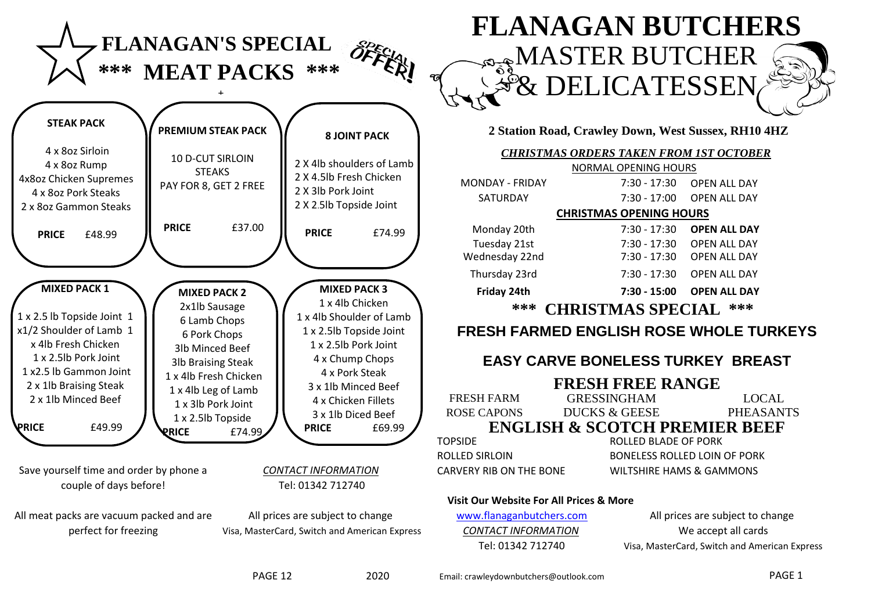

**PRICE** £74.99

**PRICE** £49.99

Save yourself time and order by phone a *CONTACT INFORMATION* couple of days before!

All meat packs are vacuum packed and are perfect for freezing

Tel: 01342 712740

All prices are subject to change Visa, MasterCard, Switch and American Express

#### **2 Station Road, Crawley Down, West Sussex, RH10 4HZ**

**EX DELICATESSEN** 

**FLANAGAN BUTCHERS** 

**MASTER BUTCHER** 

|                                                    | <b>CHRISTMAS ORDERS TAKEN FROM 1ST OCTOBER</b> |                                                |  |
|----------------------------------------------------|------------------------------------------------|------------------------------------------------|--|
|                                                    | NORMAL OPENING HOURS                           |                                                |  |
| <b>MONDAY - FRIDAY</b>                             | 7:30 - 17:30                                   | <b>OPEN ALL DAY</b>                            |  |
| <b>SATURDAY</b>                                    | 7:30 - 17:00                                   | <b>OPEN ALL DAY</b>                            |  |
|                                                    | <b>CHRISTMAS OPENING HOURS</b>                 |                                                |  |
| Monday 20th                                        | 7:30 - 17:30                                   | <b>OPEN ALL DAY</b>                            |  |
| Tuesday 21st                                       | 7:30 - 17:30                                   | <b>OPEN ALL DAY</b>                            |  |
| Wednesday 22nd                                     | 7:30 - 17:30                                   | <b>OPEN ALL DAY</b>                            |  |
| Thursday 23rd                                      | 7:30 - 17:30                                   | OPEN ALL DAY                                   |  |
| Friday 24th                                        | 7:30 - 15:00                                   | <b>OPEN ALL DAY</b>                            |  |
| ***                                                | <b>CHRISTMAS SPECIAL</b>                       | ***                                            |  |
|                                                    |                                                |                                                |  |
|                                                    |                                                | <b>FRESH FARMED ENGLISH ROSE WHOLE TURKEYS</b> |  |
|                                                    | <b>EASY CARVE BONELESS TURKEY BREAST</b>       |                                                |  |
|                                                    | <b>FRESH FREE RANGE</b>                        |                                                |  |
| <b>FRESH FARM</b>                                  | <b>GRESSINGHAM</b>                             | <b>LOCAL</b>                                   |  |
| <b>ROSE CAPONS</b>                                 | <b>DUCKS &amp; GEESE</b>                       | <b>PHEASANTS</b>                               |  |
|                                                    | <b>ENGLISH &amp; SCOTCH PREMIER BEEF</b>       |                                                |  |
| <b>TOPSIDE</b>                                     | <b>ROLLED BLADE OF PORK</b>                    |                                                |  |
| <b>ROLLED SIRLOIN</b>                              |                                                | <b>BONELESS ROLLED LOIN OF PORK</b>            |  |
| <b>CARVERY RIB ON THE BONE</b>                     |                                                | <b>WILTSHIRE HAMS &amp; GAMMONS</b>            |  |
| <b>Visit Our Website For All Prices &amp; More</b> |                                                |                                                |  |
| www.flanaganbutchers.com                           |                                                | All prices are subject to change               |  |
| <b>CONTACT INFORMATION</b>                         |                                                | We accept all cards                            |  |

**PRICE** £69.99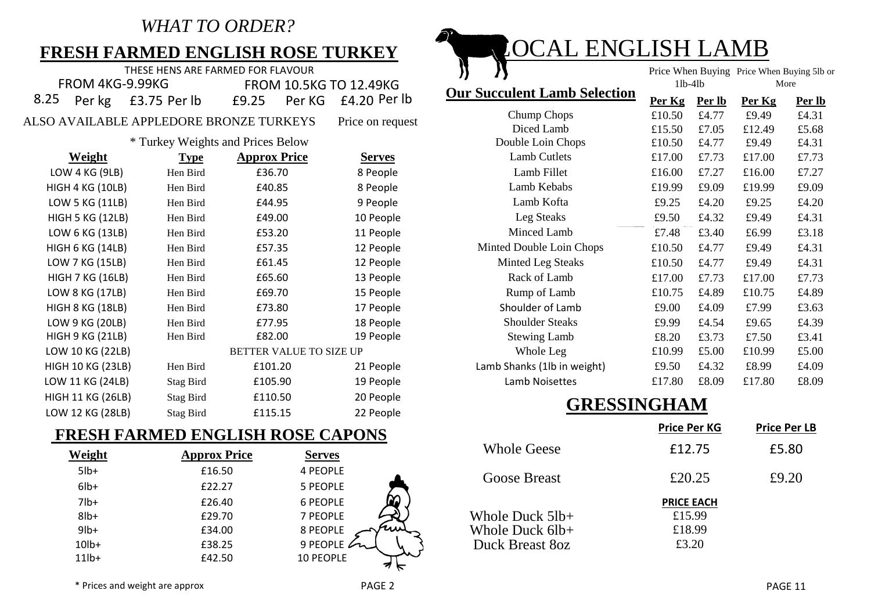## *WHAT TO ORDER?*

## **FRESH FARMED ENGLISH ROSE TURKEY**

|                 | THESE HENS ARE FARMED FOR FLAVOUR |  |                               |                                     |           | Price When Buying Price When Buying 5lb |               |
|-----------------|-----------------------------------|--|-------------------------------|-------------------------------------|-----------|-----------------------------------------|---------------|
| FROM 4KG-9.99KG |                                   |  | <b>FROM 10.5KG TO 12.49KG</b> |                                     | $11b-41b$ |                                         | More          |
|                 | 8.25 Per kg £3.75 Per lb          |  |                               | <b>Our Succulent Lamb Selection</b> |           | Per Kg Per lb Per Kg                    | <b>Per lb</b> |
|                 |                                   |  |                               |                                     |           |                                         |               |

ALSO AVAILABLE APPLEDORE BRONZE TURKEYS Price on request

#### \* Turkey Weights and Prices Below

| <b>Weight</b>            | <b>Type</b>      | <b>Approx Price</b>            | <b>Serves</b> |
|--------------------------|------------------|--------------------------------|---------------|
| LOW 4 KG (9LB)           | Hen Bird         | £36.70                         | 8 People      |
| <b>HIGH 4 KG (10LB)</b>  | Hen Bird         | £40.85                         | 8 People      |
| LOW 5 KG (11LB)          | Hen Bird         | £44.95                         | 9 People      |
| <b>HIGH 5 KG (12LB)</b>  | Hen Bird         | £49.00                         | 10 People     |
| LOW 6 KG (13LB)          | Hen Bird         | £53.20                         | 11 People     |
| HIGH 6 KG (14LB)         | Hen Bird         | £57.35                         | 12 People     |
| LOW 7 KG (15LB)          | Hen Bird         | £61.45                         | 12 People     |
| <b>HIGH 7 KG (16LB)</b>  | Hen Bird         | £65.60                         | 13 People     |
| LOW 8 KG (17LB)          | Hen Bird         | £69.70                         | 15 People     |
| <b>HIGH 8 KG (18LB)</b>  | Hen Bird         | £73.80                         | 17 People     |
| LOW 9 KG (20LB)          | Hen Bird         | £77.95                         | 18 People     |
| HIGH 9 KG (21LB)         | Hen Bird         | £82.00                         | 19 People     |
| LOW 10 KG (22LB)         |                  | <b>BETTER VALUE TO SIZE UP</b> |               |
| <b>HIGH 10 KG (23LB)</b> | Hen Bird         | £101.20                        | 21 People     |
| LOW 11 KG (24LB)         | Stag Bird        | £105.90                        | 19 People     |
| <b>HIGH 11 KG (26LB)</b> | Stag Bird        | £110.50                        | 20 People     |
| LOW 12 KG (28LB)         | <b>Stag Bird</b> | £115.15                        | 22 People     |

## **FRESH FARMED ENGLISH ROSE CAPONS**

| Weight   | <b>Approx Price</b> | <b>Serves</b>    |
|----------|---------------------|------------------|
| $5$ lb+  | £16.50              | 4 PEOPLE         |
| $6$ lb+  | £22.27              | 5 PEOPLE         |
| $7$ lb+  | £26.40              | <b>6 PEOPLE</b>  |
| $8$ lb+  | £29.70              | 7 PEOPLE         |
| $9$ lb+  | £34.00              | 8 PEOPLE         |
| $10lb+$  | £38.25              | 9 PEOPLE         |
| $11$ lb+ | £42.50              | <b>10 PEOPLE</b> |
|          |                     |                  |



| Per id      | LY.ZJ<br>Per KG             | $L4.20$ rel in   |                             | rer ng | <b>Per ID</b> | Per ng | <u>Per id</u> |
|-------------|-----------------------------|------------------|-----------------------------|--------|---------------|--------|---------------|
|             | <b>IDORE BRONZE TURKEYS</b> | Price on request | Chump Chops                 | £10.50 | £4.77         | £9.49  | £4.31         |
|             |                             |                  | Diced Lamb                  | £15.50 | £7.05         | £12.49 | £5.68         |
|             | by Weights and Prices Below |                  | Double Loin Chops           | £10.50 | £4.77         | £9.49  | £4.31         |
| <b>Type</b> | <b>Approx Price</b>         | <b>Serves</b>    | <b>Lamb Cutlets</b>         | £17.00 | £7.73         | £17.00 | £7.73         |
| Hen Bird    | £36.70                      | 8 People         | Lamb Fillet                 | £16.00 | £7.27         | £16.00 | £7.27         |
| Hen Bird    | £40.85                      | 8 People         | Lamb Kebabs                 | £19.99 | £9.09         | £19.99 | £9.09         |
| Hen Bird    | £44.95                      | 9 People         | Lamb Kofta                  | £9.25  | £4.20         | £9.25  | £4.20         |
| Hen Bird    | £49.00                      | 10 People        | Leg Steaks                  | £9.50  | £4.32         | £9.49  | £4.31         |
| Hen Bird    | £53.20                      | 11 People        | Minced Lamb                 | £7.48  | £3.40         | £6.99  | £3.18         |
| Hen Bird    | £57.35                      | 12 People        | Minted Double Loin Chops    | £10.50 | £4.77         | £9.49  | £4.31         |
| Hen Bird    | £61.45                      | 12 People        | Minted Leg Steaks           | £10.50 | £4.77         | £9.49  | £4.31         |
| Hen Bird    | £65.60                      | 13 People        | Rack of Lamb                | £17.00 | £7.73         | £17.00 | £7.73         |
| Hen Bird    | £69.70                      | 15 People        | Rump of Lamb                | £10.75 | £4.89         | £10.75 | £4.89         |
| Hen Bird    | £73.80                      | 17 People        | Shoulder of Lamb            | £9.00  | £4.09         | £7.99  | £3.63         |
| Hen Bird    | £77.95                      | 18 People        | <b>Shoulder Steaks</b>      | £9.99  | £4.54         | £9.65  | £4.39         |
| Hen Bird    | £82.00                      | 19 People        | <b>Stewing Lamb</b>         | £8.20  | £3.73         | £7.50  | £3.41         |
|             | BETTER VALUE TO SIZE UP     |                  | Whole Leg                   | £10.99 | £5.00         | £10.99 | £5.00         |
| Hen Bird    | £101.20                     | 21 People        | Lamb Shanks (1lb in weight) | £9.50  | £4.32         | £8.99  | £4.09         |
| Stag Bird   | £105.90                     | 19 People        | Lamb Noisettes              | £17.80 | £8.09         | £17.80 | £8.09         |
|             |                             |                  |                             |        |               |        |               |

## **GRESSINGHAM**

|                                                       | <b>Price Per KG</b>                            | <b>Price Per LB</b> |
|-------------------------------------------------------|------------------------------------------------|---------------------|
| <b>Whole Geese</b>                                    | £12.75                                         | £5.80               |
| <b>Goose Breast</b>                                   | £20.25                                         | £9.20               |
| Whole Duck 51b+<br>Whole Duck 6lb+<br>Duck Breast 80z | <b>PRICE EACH</b><br>£15.99<br>£18.99<br>£3.20 |                     |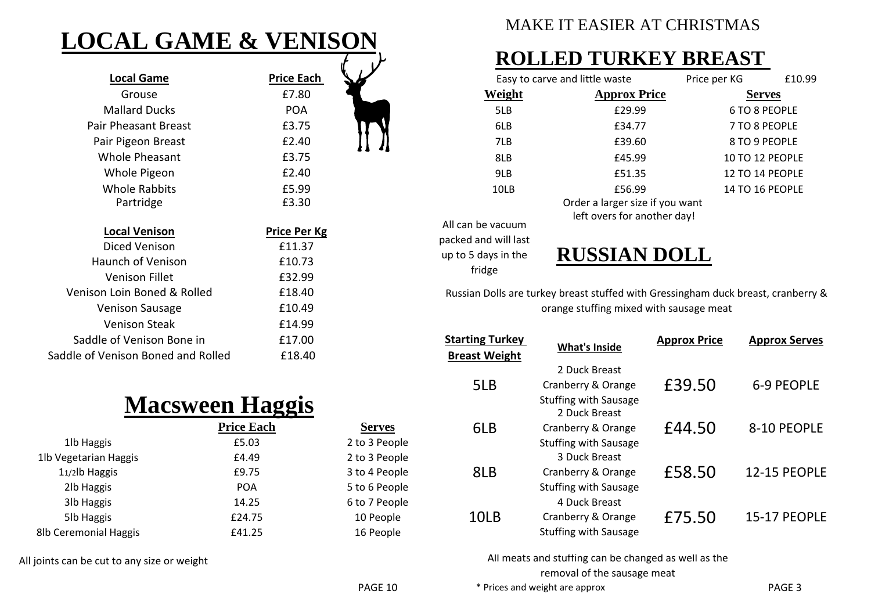# **LOCAL GAME & VENISON**

| <b>Local Game</b>                  | <b>Price Each</b>   |  |
|------------------------------------|---------------------|--|
| Grouse                             | £7.80               |  |
| <b>Mallard Ducks</b>               | <b>POA</b>          |  |
| Pair Pheasant Breast               | £3.75               |  |
| Pair Pigeon Breast                 | £2.40               |  |
| Whole Pheasant                     | £3.75               |  |
| Whole Pigeon                       | £2.40               |  |
| Whole Rabbits                      | £5.99               |  |
| Partridge                          | £3.30               |  |
|                                    |                     |  |
| <b>Local Venison</b>               | <b>Price Per Kg</b> |  |
| Diced Venison                      | £11.37              |  |
| Haunch of Venison                  | £10.73              |  |
| <b>Venison Fillet</b>              | £32.99              |  |
| Venison Loin Boned & Rolled        | £18.40              |  |
| <b>Venison Sausage</b>             | £10.49              |  |
| Venison Steak                      | £14.99              |  |
| Saddle of Venison Bone in          | £17.00              |  |
| Saddle of Venison Boned and Rolled | £18.40              |  |

# **Macsween Haggis**

|                       | <b>Price Each</b> |
|-----------------------|-------------------|
| 1lb Haggis            | £5.03             |
| 1lb Vegetarian Haggis | £4.49             |
| 11/2lb Haggis         | £9.75             |
| 2lb Haggis            | <b>POA</b>        |
| 3lb Haggis            | 14.25             |
| 5lb Haggis            | £24.75            |
| 8lb Ceremonial Haggis | £41.25            |

All joints can be cut to any size or weight

## MAKE IT EASIER AT CHRISTMAS

## **ROLLED TURKEY BREAST**

| Easy to carve and little waste |                                 | Price per KG           | £10.99 |
|--------------------------------|---------------------------------|------------------------|--------|
| Weight                         | <b>Approx Price</b>             | <b>Serves</b>          |        |
| 5LB                            | £29.99                          | 6 TO 8 PEOPLE          |        |
| 6LB                            | £34.77                          | 7 TO 8 PEOPLE          |        |
| 7LB                            | £39.60                          | 8 TO 9 PEOPLE          |        |
| 8LB                            | £45.99                          | 10 TO 12 PEOPLE        |        |
| 9LB                            | £51.35                          | 12 TO 14 PEOPLE        |        |
| 10LB                           | £56.99                          | <b>14 TO 16 PEOPLE</b> |        |
|                                | Order a larger size if you want |                        |        |
| All can be vacuum              | left overs for another day!     |                        |        |

packed and will last up to 5 days in the fridge

**RUSSIAN DOLL**

Russian Dolls are turkey breast stuffed with Gressingham duck breast, cranberry & orange stuffing mixed with sausage meat

| <b>Starting Turkey</b><br><b>Breast Weight</b> | <b>What's Inside</b>                                                                                | <b>Approx Price</b> | <b>Approx Serves</b> |
|------------------------------------------------|-----------------------------------------------------------------------------------------------------|---------------------|----------------------|
| 5LB                                            | 2 Duck Breast<br>Cranberry & Orange<br><b>Stuffing with Sausage</b>                                 | £39.50              | 6-9 PEOPLE           |
| 6LB                                            | 2 Duck Breast<br>Cranberry & Orange                                                                 | £44.50              | 8-10 PEOPLE          |
| 8LB                                            | <b>Stuffing with Sausage</b><br>3 Duck Breast<br>Cranberry & Orange<br><b>Stuffing with Sausage</b> | £58.50              | 12-15 PEOPLE         |
| 10LB                                           | 4 Duck Breast<br>Cranberry & Orange<br><b>Stuffing with Sausage</b>                                 | £75.50              | 15-17 PEOPLE         |

All meats and stuffing can be changed as well as the removal of the sausage meat

2 to 3 People

3 to 4 People

**Serves** 2 to 3 People

6 to 7 People

5 to 6 People

10 People 16 People

\* Prices and weight are approx PAGE 3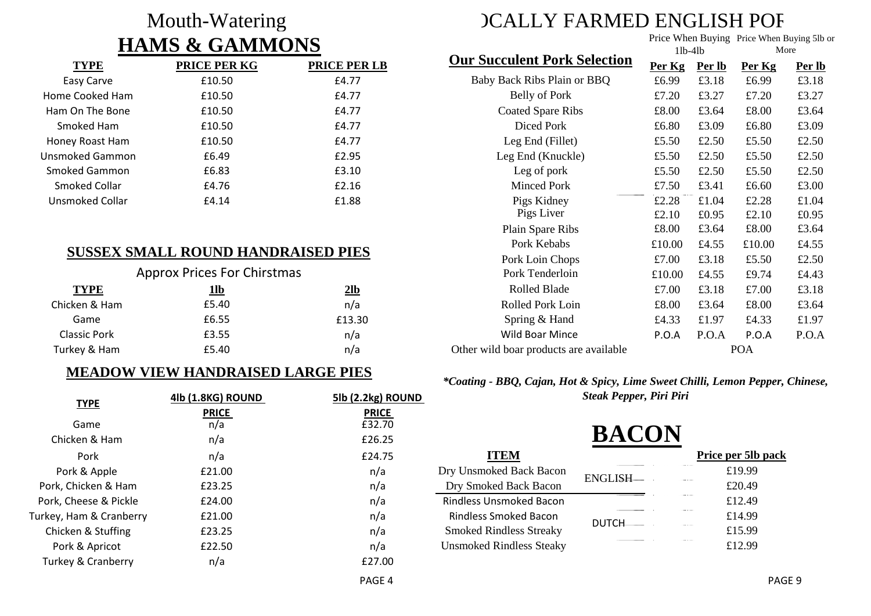## Mouth-Watering **HAMS & GAMMONS**

| <b>TYPE</b>     | <b>PRICE PER KG</b> | <b>PRICE PER LB</b> |
|-----------------|---------------------|---------------------|
| Easy Carve      | £10.50              | £4.77               |
| Home Cooked Ham | £10.50              | £4.77               |
| Ham On The Bone | £10.50              | £4.77               |
| Smoked Ham      | £10.50              | £4.77               |
| Honey Roast Ham | £10.50              | £4.77               |
| Unsmoked Gammon | £6.49               | £2.95               |
| Smoked Gammon   | £6.83               | £3.10               |
| Smoked Collar   | £4.76               | £2.16               |
| Unsmoked Collar | £4.14               | £1.88               |

## **SUSSEX SMALL ROUND HANDRAISED PIES**

| <b>Approx Prices For Chirstmas</b> |       |        |  |
|------------------------------------|-------|--------|--|
| <b>TYPE</b>                        | 1lb   | $2$ lb |  |
| Chicken & Ham                      | £5.40 | n/a    |  |
| Game                               | £6.55 | £13.30 |  |
| <b>Classic Pork</b>                | £3.55 | n/a    |  |
| Turkey & Ham                       | £5.40 | n/a    |  |

#### **MEADOW VIEW HANDRAISED LARGE PIES**

| <b>TYPE</b>                   | 4lb (1.8KG) ROUND | 5lb (2.2kg) ROUND |  |  |
|-------------------------------|-------------------|-------------------|--|--|
|                               | <b>PRICE</b>      | <b>PRICE</b>      |  |  |
| Game                          | n/a               | £32.70            |  |  |
| Chicken & Ham                 | n/a               | £26.25            |  |  |
| Pork                          | n/a               | £24.75            |  |  |
| Pork & Apple                  | £21.00            | n/a               |  |  |
| Pork, Chicken & Ham           | £23.25            | n/a               |  |  |
| Pork, Cheese & Pickle         | £24.00            | n/a               |  |  |
| Turkey, Ham & Cranberry       | £21.00            | n/a               |  |  |
| Chicken & Stuffing            | £23.25            | n/a               |  |  |
| Pork & Apricot                | £22.50            | n/a               |  |  |
| <b>Turkey &amp; Cranberry</b> | n/a               | £27.00            |  |  |
|                               |                   | PAGE 4            |  |  |

# **CALLY FARMED ENGLISH POF**

Price When Buying Price When Buying 5lb or

|             |                                        | $11b-41b$ |        | More       |        |
|-------------|----------------------------------------|-----------|--------|------------|--------|
| e per lb    | <b>Our Succulent Pork Selection</b>    | Per Kg    | Per lb | Per Kg     | Per lb |
| E4.77       | Baby Back Ribs Plain or BBQ            | £6.99     | £3.18  | £6.99      | £3.18  |
| E4.77       | Belly of Pork                          | £7.20     | £3.27  | £7.20      | £3.27  |
| E4.77       | <b>Coated Spare Ribs</b>               | £8.00     | £3.64  | £8.00      | £3.64  |
| E4.77       | Diced Pork                             | £6.80     | £3.09  | £6.80      | £3.09  |
| E4.77       | Leg End (Fillet)                       | £5.50     | £2.50  | £5.50      | £2.50  |
| £2.95       | Leg End (Knuckle)                      | £5.50     | £2.50  | £5.50      | £2.50  |
| E3.10       | Leg of pork                            | £5.50     | £2.50  | £5.50      | £2.50  |
| E2.16       | <b>Minced Pork</b>                     | £7.50     | £3.41  | £6.60      | £3.00  |
| £1.88       | Pigs Kidney                            | £2.28     | £1.04  | £2.28      | £1.04  |
|             | Pigs Liver                             | £2.10     | £0.95  | £2.10      | £0.95  |
|             | Plain Spare Ribs                       | £8.00     | £3.64  | £8.00      | £3.64  |
| <b>PIES</b> | Pork Kebabs                            | £10.00    | £4.55  | £10.00     | £4.55  |
|             | Pork Loin Chops                        | £7.00     | £3.18  | £5.50      | £2.50  |
|             | Pork Tenderloin                        | £10.00    | £4.55  | £9.74      | £4.43  |
| $2$ lb      | Rolled Blade                           | £7.00     | £3.18  | £7.00      | £3.18  |
| n/a         | Rolled Pork Loin                       | £8.00     | £3.64  | £8.00      | £3.64  |
| £13.30      | Spring & Hand                          | £4.33     | £1.97  | £4.33      | £1.97  |
| n/a         | <b>Wild Boar Mince</b>                 | P.O.A     | P.O.A  | P.O.A      | P.O.A  |
| n/a         | Other wild boar products are available |           |        | <b>POA</b> |        |

#### *\*Coating - BBQ, Cajan, Hot & Spicy, Lime Sweet Chilli, Lemon Pepper, Chinese, Steak Pepper, Piri Piri*

# **BACON**

|                         |                                 |              | Price per 5lb pack |
|-------------------------|---------------------------------|--------------|--------------------|
| Dry Unsmoked Back Bacon |                                 | ENGLISH      | £19.99             |
|                         | Dry Smoked Back Bacon           |              | £20.49             |
|                         | <b>Rindless Unsmoked Bacon</b>  |              | £12.49             |
|                         | <b>Rindless Smoked Bacon</b>    | <b>DUTCH</b> | £14.99             |
|                         | <b>Smoked Rindless Streaky</b>  |              | £15.99             |
|                         | <b>Unsmoked Rindless Steaky</b> |              | £12.99             |
|                         |                                 |              |                    |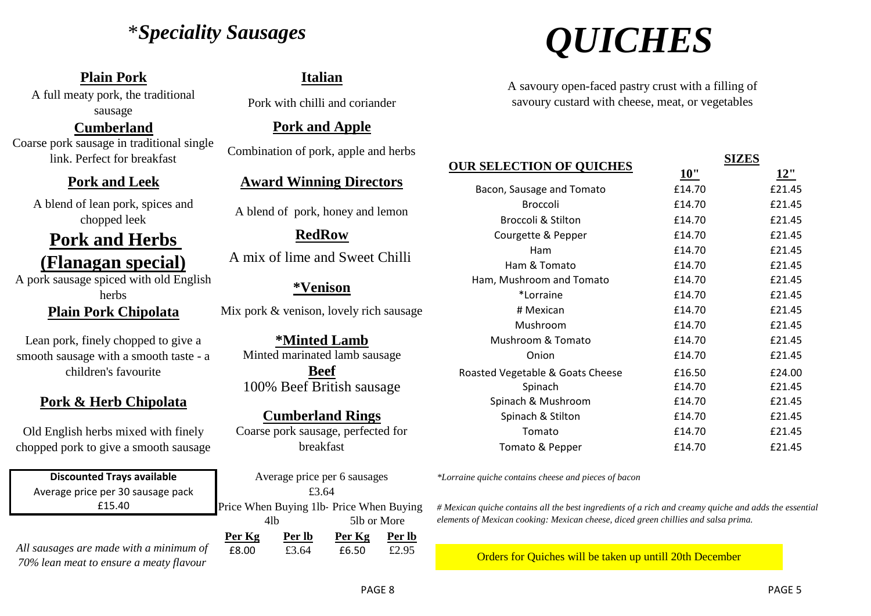## \**Speciality Sausages*

## **Plain Pork Italian**

A full meaty pork, the traditional pork with chilli and coriander sausage

**Cumberland** Coarse pork sausage in traditional single link. Perfect for breakfast Combination of pork, apple and herbs

### **Pork and Leek**

A blend of lean pork, spices and Solid enterpork, spices and A blend of pork, honey and lemon chopped leek

## **Pork and Herbs (Flanagan special)**

A pork sausage spiced with old English herbs

## **Plain Pork Chipolata**

Lean pork, finely chopped to give a smooth sausage with a smooth taste - a children's favourite

## **Pork & Herb Chipolata**

Old English herbs mixed with finely chopped pork to give a smooth sausage

Average price per 30 sausage pack £15.40 **Discounted Trays available**

*All sausages are made with a minimum of 70% lean meat to ensure a meaty flavour*

## **Pork and Apple**

## **Award Winning Directors**

# **RedRow**

A mix of lime and Sweet Chilli

### **\*Venison**

Mix pork & venison, lovely rich sausage

**\*Minted Lamb** Minted marinated lamb sausage **Beef**

100% Beef British sausage

#### **Cumberland Rings**

Coarse pork sausage, perfected for breakfast

**Per Kg Per lb Per Kg Per lb** Average price per 6 sausages Price When Buying 1lb-Price When Buying 4lb 5lb or More £3.64

£8.00 £3.64 £6.50 £2.95



A savoury open-faced pastry crust with a filling of savoury custard with cheese, meat, or vegetables

|                                  |        | SIZES  |
|----------------------------------|--------|--------|
| <b>OUR SELECTION OF QUICHES</b>  | 10"    | 12"    |
| Bacon, Sausage and Tomato        | £14.70 | £21.45 |
| <b>Broccoli</b>                  | £14.70 | £21.45 |
| <b>Broccoli &amp; Stilton</b>    | £14.70 | £21.45 |
| Courgette & Pepper               | £14.70 | £21.45 |
| <b>Ham</b>                       | £14.70 | £21.45 |
| Ham & Tomato                     | £14.70 | £21.45 |
| Ham, Mushroom and Tomato         | £14.70 | £21.45 |
| *Lorraine                        | £14.70 | £21.45 |
| # Mexican                        | £14.70 | £21.45 |
| Mushroom                         | £14.70 | £21.45 |
| Mushroom & Tomato                | £14.70 | £21.45 |
| Onion                            | £14.70 | £21.45 |
| Roasted Vegetable & Goats Cheese | £16.50 | £24.00 |
| Spinach                          | £14.70 | £21.45 |
| Spinach & Mushroom               | £14.70 | £21.45 |
| Spinach & Stilton                | £14.70 | £21.45 |
| Tomato                           | £14.70 | £21.45 |
| Tomato & Pepper                  | £14.70 | £21.45 |

*\*Lorraine quiche contains cheese and pieces of bacon*

*# Mexican quiche contains all the best ingredients of a rich and creamy quiche and adds the essential elements of Mexican cooking: Mexican cheese, diced green chillies and salsa prima.* 

Orders for Quiches will be taken up untill 20th December